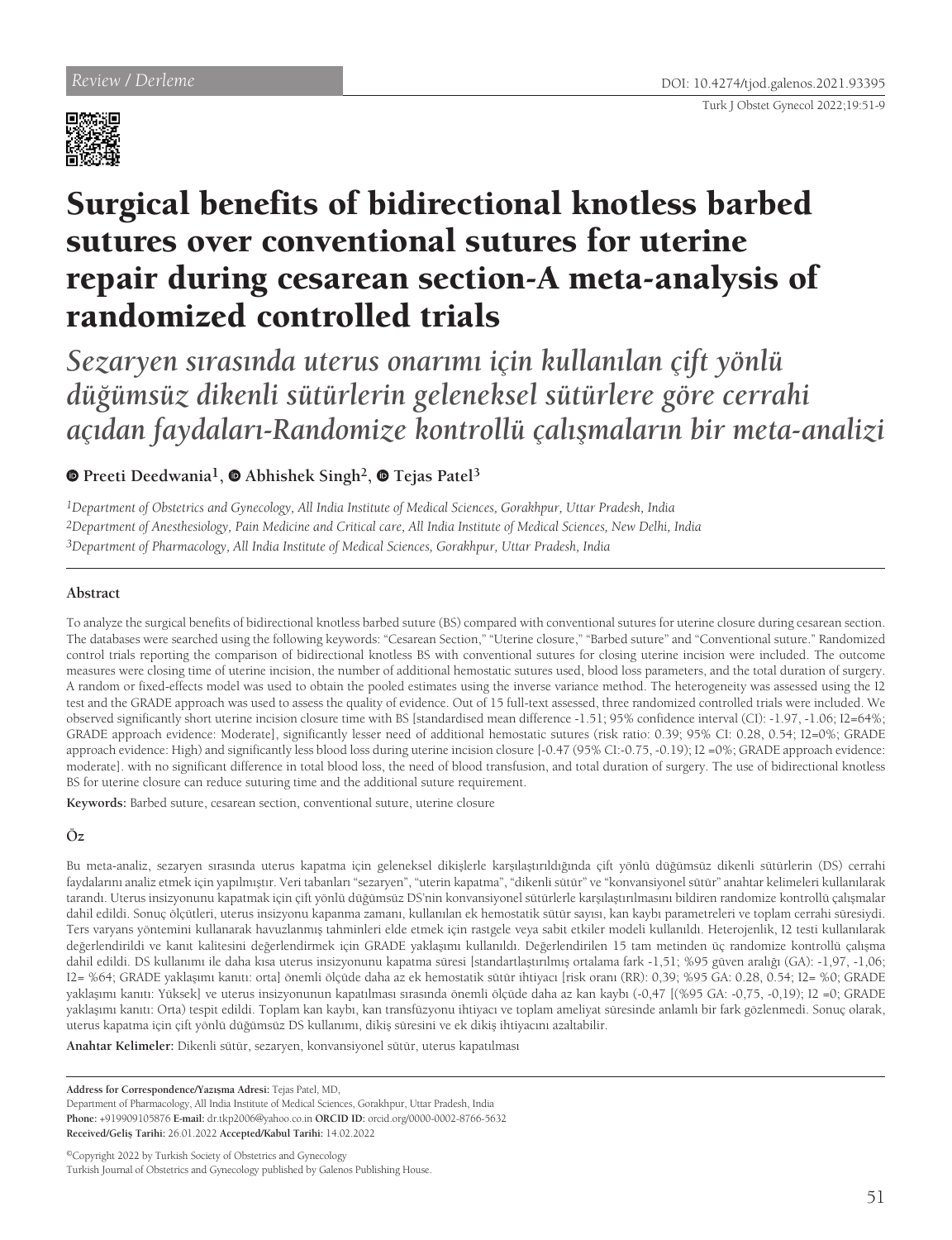

# Surgical benefits of bidirectional knotless barbed sutures over conventional sutures for uterine repair during cesarean section-A meta-analysis of randomized controlled trials

*Sezaryen sırasında uterus onarımı için kullanılan çift yönlü düğümsüz dikenli sütürlerin geleneksel sütürlere göre cerrahi açıdan faydaları-Randomize kontrollü çalışmaların bir meta-analizi*

## **Preeti Deedwania1, Abhishek Singh2,Tejas Patel<sup>3</sup>**

*1Department of Obstetrics and Gynecology, All India Institute of Medical Sciences, Gorakhpur, Uttar Pradesh, India 2Department of Anesthesiology, Pain Medicine and Critical care, All India Institute of Medical Sciences, New Delhi, India 3Department of Pharmacology, All India Institute of Medical Sciences, Gorakhpur, Uttar Pradesh, India*

## **Abstract**

To analyze the surgical benefits of bidirectional knotless barbed suture (BS) compared with conventional sutures for uterine closure during cesarean section. The databases were searched using the following keywords: "Cesarean Section," "Uterine closure," "Barbed suture" and "Conventional suture." Randomized control trials reporting the comparison of bidirectional knotless BS with conventional sutures for closing uterine incision were included. The outcome measures were closing time of uterine incision, the number of additional hemostatic sutures used, blood loss parameters, and the total duration of surgery. A random or fixed-effects model was used to obtain the pooled estimates using the inverse variance method. The heterogeneity was assessed using the I2 test and the GRADE approach was used to assess the quality of evidence. Out of 15 full-text assessed, three randomized controlled trials were included. We observed significantly short uterine incision closure time with BS [standardised mean difference -1.51; 95% confidence interval (CI): -1.97, -1.06; I2=64%; GRADE approach evidence: Moderate], significantly lesser need of additional hemostatic sutures (risk ratio: 0.39; 95% CI: 0.28, 0.54; I2=0%; GRADE approach evidence: High) and significantly less blood loss during uterine incision closure [-0.47 (95% CI:-0.75, -0.19); I2 =0%; GRADE approach evidence: moderate]. with no significant difference in total blood loss, the need of blood transfusion, and total duration of surgery. The use of bidirectional knotless BS for uterine closure can reduce suturing time and the additional suture requirement.

**Keywords:** Barbed suture, cesarean section, conventional suture, uterine closure

## **Öz**

Bu meta-analiz, sezaryen sırasında uterus kapatma için geleneksel dikişlerle karşılaştırıldığında çift yönlü düğümsüz dikenli sütürlerin (DS) cerrahi faydalarını analiz etmek için yapılmıştır. Veri tabanları "sezaryen", "uterin kapatma", "dikenli sütür" ve "konvansiyonel sütür" anahtar kelimeleri kullanılarak tarandı. Uterus insizyonunu kapatmak için çift yönlü düğümsüz DS'nin konvansiyonel sütürlerle karşılaştırılmasını bildiren randomize kontrollü çalışmalar dahil edildi. Sonuç ölçütleri, uterus insizyonu kapanma zamanı, kullanılan ek hemostatik sütür sayısı, kan kaybı parametreleri ve toplam cerrahi süresiydi. Ters varyans yöntemini kullanarak havuzlanmış tahminleri elde etmek için rastgele veya sabit etkiler modeli kullanıldı. Heterojenlik, I2 testi kullanılarak değerlendirildi ve kanıt kalitesini değerlendirmek için GRADE yaklaşımı kullanıldı. Değerlendirilen 15 tam metinden üç randomize kontrollü çalışma dahil edildi. DS kullanımı ile daha kısa uterus insizyonunu kapatma süresi [standartlaştırılmış ortalama fark -1,51; %95 güven aralığı (GA): -1,97, -1,06; I2= %64; GRADE yaklaşımı kanıtı: orta] önemli ölçüde daha az ek hemostatik sütür ihtiyacı [risk oranı (RR): 0,39; %95 GA: 0.28, 0.54; I2= %0; GRADE yaklaşımı kanıtı: Yüksek] ve uterus insizyonunun kapatılması sırasında önemli ölçüde daha az kan kaybı (-0,47 [(%95 GA: -0,75, -0,19); I2 =0; GRADE yaklaşımı kanıtı: Orta) tespit edildi. Toplam kan kaybı, kan transfüzyonu ihtiyacı ve toplam ameliyat süresinde anlamlı bir fark gözlenmedi. Sonuç olarak, uterus kapatma için çift yönlü düğümsüz DS kullanımı, dikiş süresini ve ek dikiş ihtiyacını azaltabilir.

**Anahtar Kelimeler:** Dikenli sütür, sezaryen, konvansiyonel sütür, uterus kapatılması

**Address for Correspondence/Yazışma Adresi:** Tejas Patel, MD,

Department of Pharmacology, All India Institute of Medical Sciences, Gorakhpur, Uttar Pradesh, India **Phone:** +919909105876 **E-mail:** dr.tkp2006@yahoo.co.in **ORCID ID:** orcid.org/0000-0002-8766-5632 **Received/Geliş Tarihi:** 26.01.2022 **Accepted/Kabul Tarihi:** 14.02.2022

©Copyright 2022 by Turkish Society of Obstetrics and Gynecology Turkish Journal of Obstetrics and Gynecology published by Galenos Publishing House.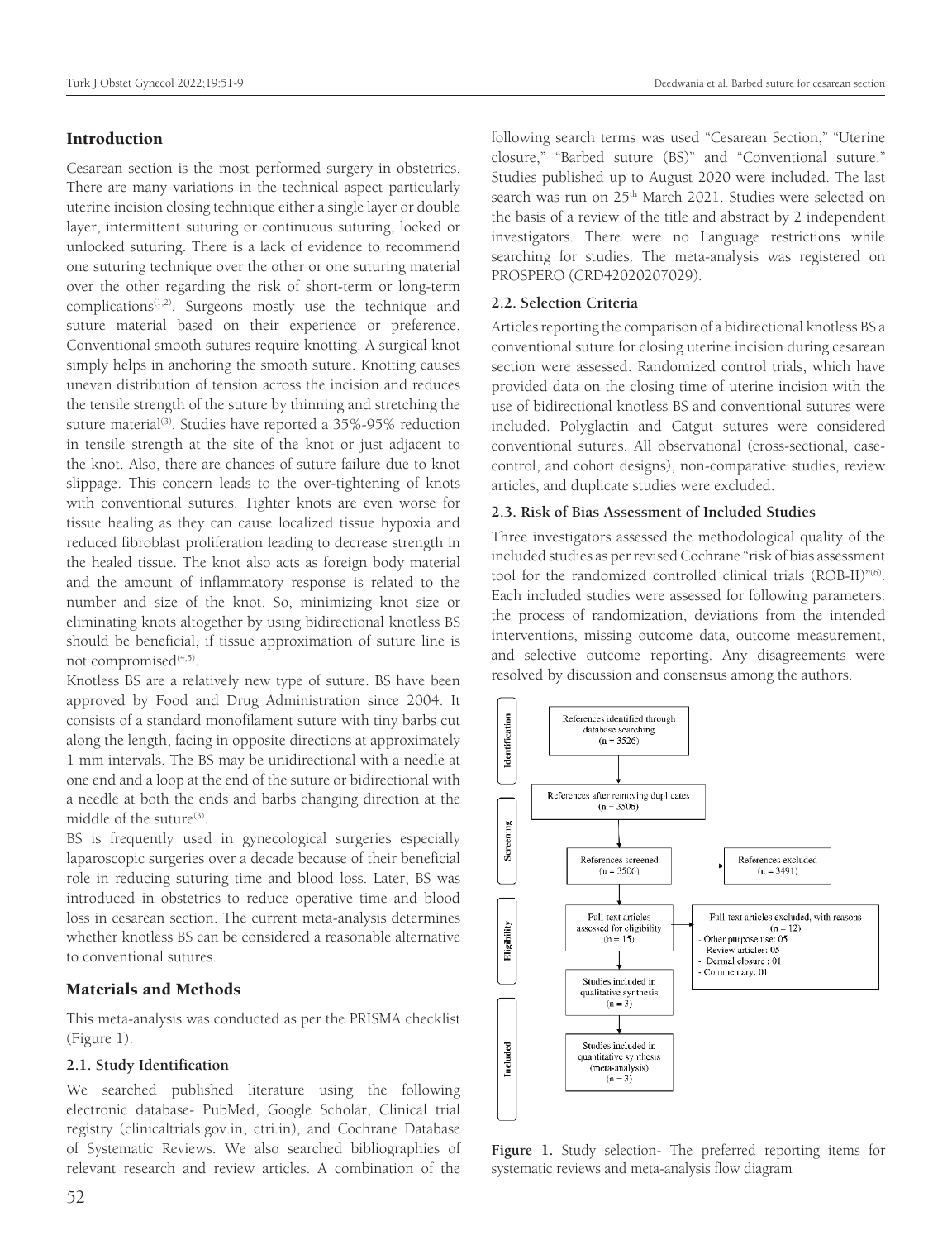## Introduction

Cesarean section is the most performed surgery in obstetrics. There are many variations in the technical aspect particularly uterine incision closing technique either a single layer or double layer, intermittent suturing or continuous suturing, locked or unlocked suturing. There is a lack of evidence to recommend one suturing technique over the other or one suturing material over the other regarding the risk of short-term or long-term complications<sup> $(1,2)$ </sup>. Surgeons mostly use the technique and suture material based on their experience or preference. Conventional smooth sutures require knotting. A surgical knot simply helps in anchoring the smooth suture. Knotting causes uneven distribution of tension across the incision and reduces the tensile strength of the suture by thinning and stretching the suture material<sup>(3)</sup>. Studies have reported a 35%-95% reduction in tensile strength at the site of the knot or just adjacent to the knot. Also, there are chances of suture failure due to knot slippage. This concern leads to the over-tightening of knots with conventional sutures. Tighter knots are even worse for tissue healing as they can cause localized tissue hypoxia and reduced fibroblast proliferation leading to decrease strength in the healed tissue. The knot also acts as foreign body material and the amount of inflammatory response is related to the number and size of the knot. So, minimizing knot size or eliminating knots altogether by using bidirectional knotless BS should be beneficial, if tissue approximation of suture line is not compromised $(4,5)$ .

Knotless BS are a relatively new type of suture. BS have been approved by Food and Drug Administration since 2004. It consists of a standard monofilament suture with tiny barbs cut along the length, facing in opposite directions at approximately 1 mm intervals. The BS may be unidirectional with a needle at one end and a loop at the end of the suture or bidirectional with a needle at both the ends and barbs changing direction at the middle of the suture<sup>(3)</sup>.

BS is frequently used in gynecological surgeries especially laparoscopic surgeries over a decade because of their beneficial role in reducing suturing time and blood loss. Later, BS was introduced in obstetrics to reduce operative time and blood loss in cesarean section. The current meta-analysis determines whether knotless BS can be considered a reasonable alternative to conventional sutures.

## Materials and Methods

This meta-analysis was conducted as per the PRISMA checklist (Figure 1).

## **2.1. Study Identification**

We searched published literature using the following electronic database- PubMed, Google Scholar, Clinical trial registry (clinicaltrials.gov.in, ctri.in), and Cochrane Database of Systematic Reviews. We also searched bibliographies of relevant research and review articles. A combination of the

following search terms was used "Cesarean Section," "Uterine closure," "Barbed suture (BS)" and "Conventional suture." Studies published up to August 2020 were included. The last search was run on 25<sup>th</sup> March 2021. Studies were selected on the basis of a review of the title and abstract by 2 independent investigators. There were no Language restrictions while searching for studies. The meta-analysis was registered on PROSPERO (CRD42020207029).

#### **2.2. Selection Criteria**

Articles reporting the comparison of a bidirectional knotless BS a conventional suture for closing uterine incision during cesarean section were assessed. Randomized control trials, which have provided data on the closing time of uterine incision with the use of bidirectional knotless BS and conventional sutures were included. Polyglactin and Catgut sutures were considered conventional sutures. All observational (cross-sectional, casecontrol, and cohort designs), non-comparative studies, review articles, and duplicate studies were excluded.

## **2.3. Risk of Bias Assessment of Included Studies**

Three investigators assessed the methodological quality of the included studies as per revised Cochrane "risk of bias assessment tool for the randomized controlled clinical trials (ROB-II)"(6). Each included studies were assessed for following parameters: the process of randomization, deviations from the intended interventions, missing outcome data, outcome measurement, and selective outcome reporting. Any disagreements were resolved by discussion and consensus among the authors.



**Figure 1.** Study selection- The preferred reporting items for systematic reviews and meta-analysis flow diagram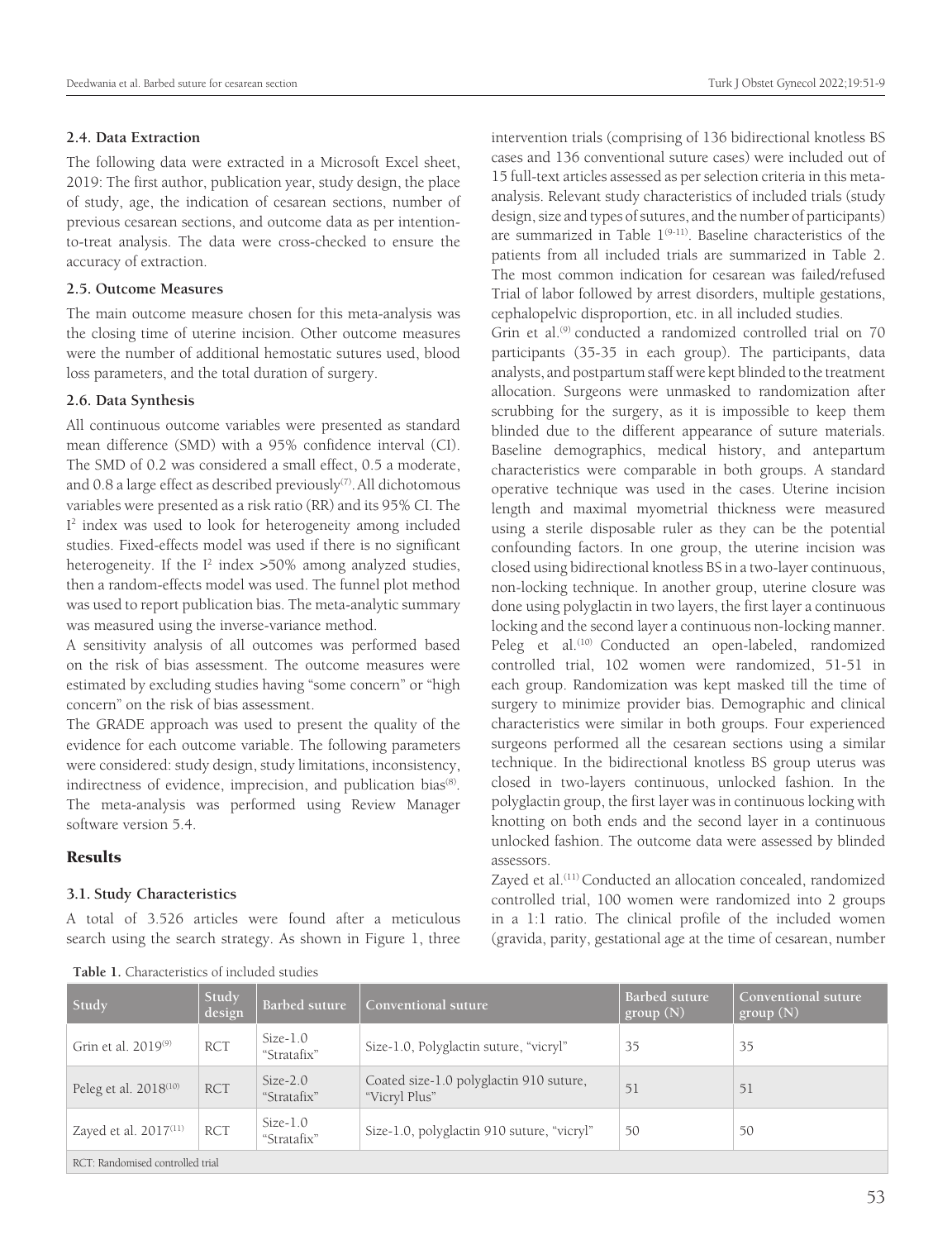#### **2.4. Data Extraction**

The following data were extracted in a Microsoft Excel sheet, 2019: The first author, publication year, study design, the place of study, age, the indication of cesarean sections, number of previous cesarean sections, and outcome data as per intentionto-treat analysis. The data were cross-checked to ensure the accuracy of extraction.

#### **2.5. Outcome Measures**

The main outcome measure chosen for this meta-analysis was the closing time of uterine incision. Other outcome measures were the number of additional hemostatic sutures used, blood loss parameters, and the total duration of surgery.

#### **2.6. Data Synthesis**

All continuous outcome variables were presented as standard mean difference (SMD) with a 95% confidence interval (CI). The SMD of 0.2 was considered a small effect, 0.5 a moderate, and 0.8 a large effect as described previously<sup>(7)</sup>. All dichotomous variables were presented as a risk ratio (RR) and its 95% CI. The I<sup>2</sup> index was used to look for heterogeneity among included studies. Fixed-effects model was used if there is no significant heterogeneity. If the  $I^2$  index  $>50\%$  among analyzed studies, then a random-effects model was used. The funnel plot method was used to report publication bias. The meta-analytic summary was measured using the inverse-variance method.

A sensitivity analysis of all outcomes was performed based on the risk of bias assessment. The outcome measures were estimated by excluding studies having "some concern" or "high concern" on the risk of bias assessment.

The GRADE approach was used to present the quality of the evidence for each outcome variable. The following parameters were considered: study design, study limitations, inconsistency, indirectness of evidence, imprecision, and publication bias<sup>(8)</sup>. The meta-analysis was performed using Review Manager software version 5.4.

## Results

#### **3.1. Study Characteristics**

A total of 3.526 articles were found after a meticulous search using the search strategy. As shown in Figure 1, three

intervention trials (comprising of 136 bidirectional knotless BS cases and 136 conventional suture cases) were included out of 15 full-text articles assessed as per selection criteria in this metaanalysis. Relevant study characteristics of included trials (study design, size and types of sutures, and the number of participants) are summarized in Table  $1^{(9-11)}$ . Baseline characteristics of the patients from all included trials are summarized in Table 2. The most common indication for cesarean was failed/refused Trial of labor followed by arrest disorders, multiple gestations, cephalopelvic disproportion, etc. in all included studies.

Grin et al.<sup>(9)</sup> conducted a randomized controlled trial on 70 participants (35-35 in each group). The participants, data analysts, and postpartum staff were kept blinded to the treatment allocation. Surgeons were unmasked to randomization after scrubbing for the surgery, as it is impossible to keep them blinded due to the different appearance of suture materials. Baseline demographics, medical history, and antepartum characteristics were comparable in both groups. A standard operative technique was used in the cases. Uterine incision length and maximal myometrial thickness were measured using a sterile disposable ruler as they can be the potential confounding factors. In one group, the uterine incision was closed using bidirectional knotless BS in a two-layer continuous, non-locking technique. In another group, uterine closure was done using polyglactin in two layers, the first layer a continuous locking and the second layer a continuous non-locking manner. Peleg et al.<sup>(10)</sup> Conducted an open-labeled, randomized controlled trial, 102 women were randomized, 51-51 in each group. Randomization was kept masked till the time of surgery to minimize provider bias. Demographic and clinical characteristics were similar in both groups. Four experienced surgeons performed all the cesarean sections using a similar technique. In the bidirectional knotless BS group uterus was closed in two-layers continuous, unlocked fashion. In the polyglactin group, the first layer was in continuous locking with knotting on both ends and the second layer in a continuous unlocked fashion. The outcome data were assessed by blinded assessors.

Zayed et al.<sup>(11)</sup> Conducted an allocation concealed, randomized controlled trial, 100 women were randomized into 2 groups in a 1:1 ratio. The clinical profile of the included women (gravida, parity, gestational age at the time of cesarean, number

| Study                             | Study<br>design | Barbed suture             | Conventional suture                                      | <b>Barbed suture</b><br>group(N) | Conventional suture<br>group(N) |
|-----------------------------------|-----------------|---------------------------|----------------------------------------------------------|----------------------------------|---------------------------------|
| Grin et al. $2019^{(9)}$          | <b>RCT</b>      | $Size-1.0$<br>"Stratafix" | Size-1.0, Polyglactin suture, "vicryl"                   | 35                               | 35                              |
| Peleg et al. 2018 <sup>(10)</sup> | <b>RCT</b>      | $Size-2.0$<br>"Stratafix" | Coated size-1.0 polyglactin 910 suture,<br>"Vicryl Plus" | 51                               | 51                              |
| Zayed et al. $2017^{(11)}$        | <b>RCT</b>      | $Size-1.0$<br>"Stratafix" | Size-1.0, polyglactin 910 suture, "vicryl"               | 50                               | 50                              |
| RCT: Randomised controlled trial  |                 |                           |                                                          |                                  |                                 |

**Table 1.** Characteristics of included studies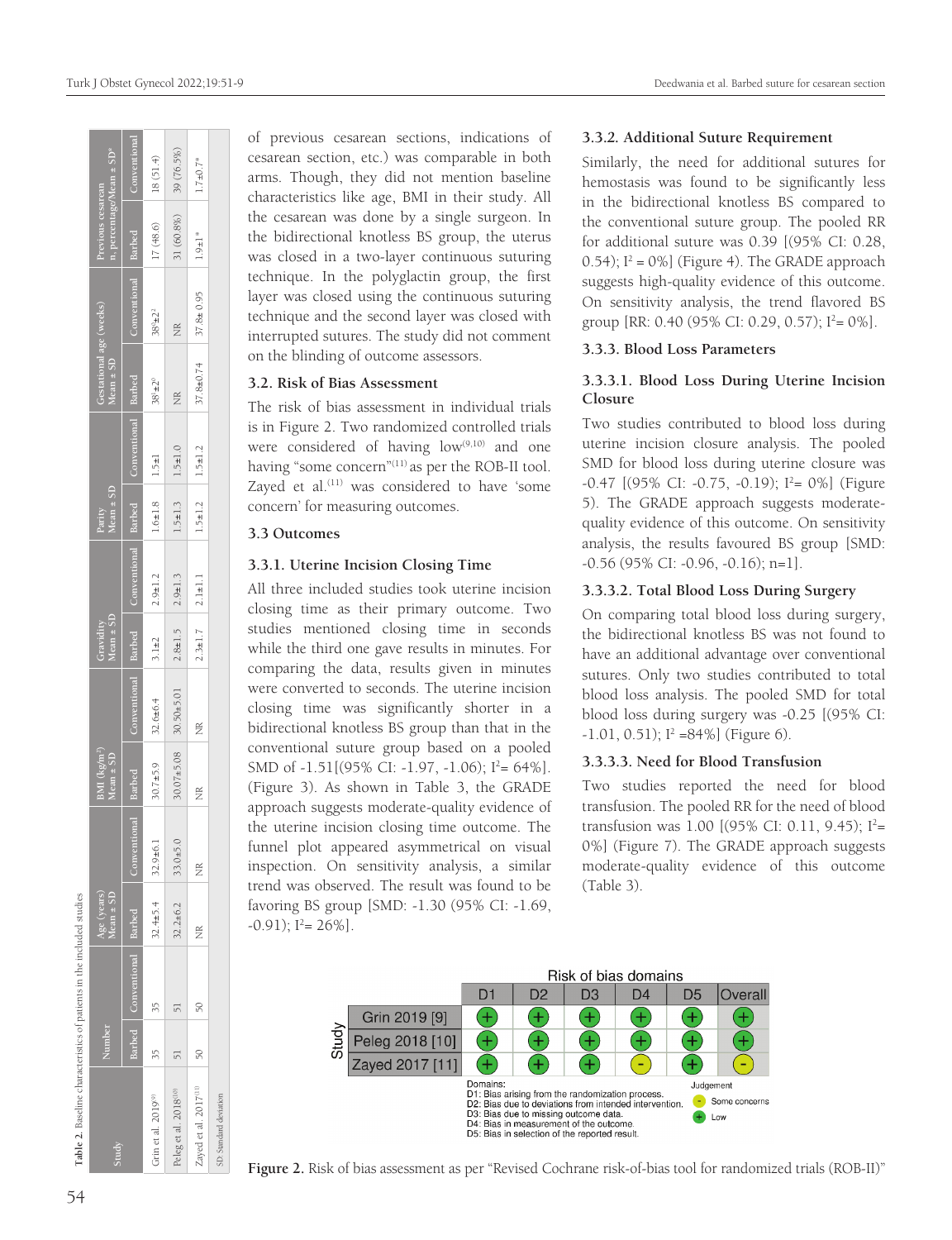| Table 2. Baseline characteristics of patients in the included studies |        |                            |                              |              |                                        |                                                                 |                               |               |                             |               |                                          |                     |                                                           |                 |
|-----------------------------------------------------------------------|--------|----------------------------|------------------------------|--------------|----------------------------------------|-----------------------------------------------------------------|-------------------------------|---------------|-----------------------------|---------------|------------------------------------------|---------------------|-----------------------------------------------------------|-----------------|
| Study                                                                 | Number |                            | Age (years)<br>Mean $\pm$ SD |              | BMI $(\text{kg/m}^2)$<br>Mean $\pm$ SD |                                                                 | $Mean \pm SD$<br>Gravidity    |               | Parity<br>Mean $\pm$ SD     |               | Gestational age (weeks)<br>$Mean \pm SD$ |                     | n, percentage/Mean ± SD <sup>*</sup><br>Previous cesarean |                 |
|                                                                       |        | Barbed Conventional Barbed |                              | Conventiona  | Barbed                                 | Conventional Barbed   Conventional Barbed   Conventional Barbed |                               |               |                             |               |                                          | Conventional Barbed |                                                           | Conventional    |
| Grin et al. 2019 <sup>(9)</sup>                                       |        | ξ                          | $32.4 \pm 5.4$               | $32.9 + 6.1$ | $30.7 + 5.9$                           | $32.6 \pm 6.4$                                                  | $13.1 \pm 2$                  | $2.9 \pm 1.2$ | $  1.6 \pm 1.8   1.5 \pm 1$ |               | $38^{1} \pm 2^{0}$                       | $38^0 \pm 2^2$      | 17(48.6)                                                  | 18(51.4)        |
| Peleg et al. 2018 <sup>(10)</sup>                                     |        |                            | $32.2 \pm 6.2$               | $33.0 + 5.0$ |                                        | $30.07 \pm 5.08$ $30.50 \pm 5.01$                               | $2.8 \pm 1.5$ $2.9 \pm 1.3$   |               | $1.5 \pm 1.3$               | $1.5 \pm 1.0$ | $\frac{\alpha}{Z}$                       | ž                   | $31(60.8\%)$                                              | 39(76.5%)       |
| Zayed et al. 2017(11)                                                 | 50     | $\frac{50}{2}$             | ž                            | ž            | Ĕ                                      | ž                                                               | $2.3 \pm 1.7$   $2.1 \pm 1.1$ |               | $1.5 \pm 1.2$               | $1.5 \pm 1.2$ | $37.8 \pm 0.74$                          | $37.8 \pm 0.95$     | $1.9 \pm 1$ *                                             | $1.7 \pm 0.7$ * |
| SD: Standard deviation                                                |        |                            |                              |              |                                        |                                                                 |                               |               |                             |               |                                          |                     |                                                           |                 |

of previous cesarean sections, indications of cesarean section, etc.) was comparable in both arms. Though, they did not mention baseline characteristics like age, BMI in their study. All the cesarean was done by a single surgeon. In the bidirectional knotless BS group, the uterus was closed in a two-layer continuous suturing technique. In the polyglactin group, the first layer was closed using the continuous suturing technique and the second layer was closed with interrupted sutures. The study did not comment on the blinding of outcome assessors.

## **3.2. Risk of Bias Assessment**

The risk of bias assessment in individual trials is in Figure 2. Two randomized controlled trials were considered of having  $low^{(9,10)}$  and one having "some concern"<sup>(11)</sup> as per the ROB-II tool. Zayed et al.<sup>(11)</sup> was considered to have 'some concern' for measuring outcomes.

## **3.3 Outcomes**

## **3.3.1***.* **Uterine Incision Closing Time**

All three included studies took uterine incision closing time as their primary outcome. Two studies mentioned closing time in seconds while the third one gave results in minutes. For comparing the data, results given in minutes were converted to seconds. The uterine incision closing time was significantly shorter in a bidirectional knotless BS group than that in the conventional suture group based on a pooled SMD of  $-1.51[(95\% \text{ CI: } -1.97, -1.06); 1^2 = 64\%].$ (Figure 3). As shown in Table 3, the GRADE approach suggests moderate-quality evidence of the uterine incision closing time outcome. The funnel plot appeared asymmetrical on visual inspection. On sensitivity analysis, a similar trend was observed. The result was found to be favoring BS group [SMD: -1.30 (95% CI: -1.69,  $-0.91$ );  $1^2 = 26\%$ ].

## **3.3.***2.* **Additional Suture Requirement**

Similarly, the need for additional sutures for hemostasis was found to be significantly less in the bidirectional knotless BS compared to the conventional suture group. The pooled RR for additional suture was 0.39 [(95% CI: 0.28,  $(0.54)$ ;  $I^2 = 0\%$ ] (Figure 4). The GRADE approach suggests high-quality evidence of this outcome. On sensitivity analysis, the trend flavored BS group [RR: 0.40 (95% CI: 0.29, 0.57);  $I^2 = 0\%$ ].

#### **3.3.3. Blood Loss Parameters**

## **3.3.3.1. Blood Loss During Uterine Incision Closure**

Two studies contributed to blood loss during uterine incision closure analysis. The pooled SMD for blood loss during uterine closure was -0.47 [(95% CI: -0.75, -0.19); I 2 = 0%] (Figure 5). The GRADE approach suggests moderatequality evidence of this outcome. On sensitivity analysis, the results favoured BS group [SMD: -0.56 (95% CI: -0.96, -0.16); n=1].

#### **3.3.3.2. Total Blood Loss During Surgery**

On comparing total blood loss during surgery, the bidirectional knotless BS was not found to have an additional advantage over conventional sutures. Only two studies contributed to total blood loss analysis. The pooled SMD for total blood loss during surgery was -0.25 [(95% CI:  $-1.01, 0.51$ );  $I^2 = 84\%$ ] (Figure 6).

#### **3.3.3.3. Need for Blood Transfusion**

Two studies reported the need for blood transfusion. The pooled RR for the need of blood transfusion was 1.00 [(95% CI: 0.11, 9.45);  $I^2=$ 0%] (Figure 7). The GRADE approach suggests moderate-quality evidence of this outcome (Table 3).



**Figure 2.** Risk of bias assessment as per "Revised Cochrane risk-of-bias tool for randomized trials (ROB-II)"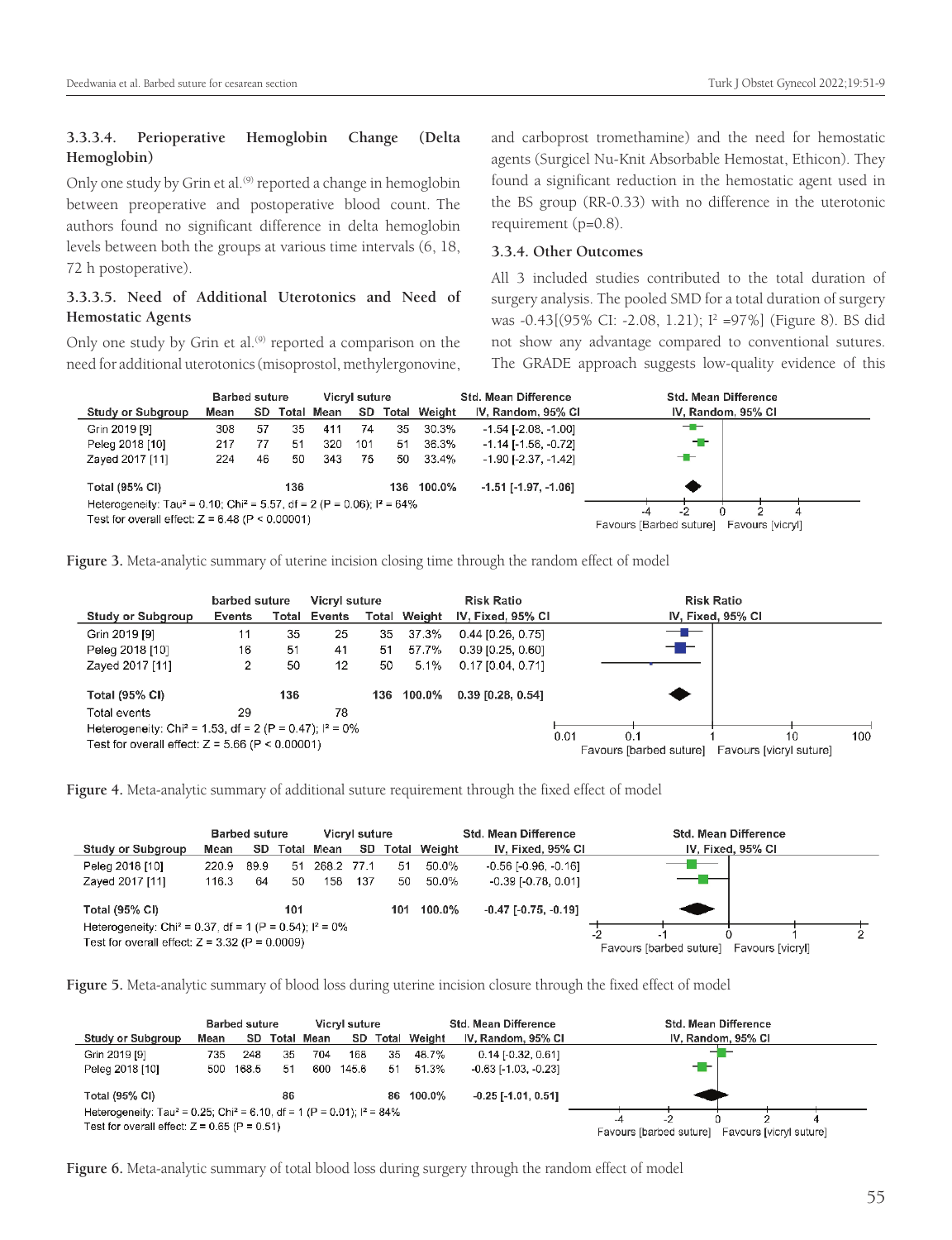## **3.3.3.4. Perioperative Hemoglobin Change (Delta Hemoglobin)**

Only one study by Grin et al.<sup>(9)</sup> reported a change in hemoglobin between preoperative and postoperative blood count. The authors found no significant difference in delta hemoglobin levels between both the groups at various time intervals (6, 18, 72 h postoperative).

## **3.3.3.5. Need of Additional Uterotonics and Need of Hemostatic Agents**

Only one study by Grin et al.<sup>(9)</sup> reported a comparison on the need for additional uterotonics (misoprostol, methylergonovine,

and carboprost tromethamine) and the need for hemostatic agents (Surgicel Nu-Knit Absorbable Hemostat, Ethicon). They found a significant reduction in the hemostatic agent used in the BS group (RR-0.33) with no difference in the uterotonic requirement (p=0.8).

## **3.3.4. Other Outcomes**

All 3 included studies contributed to the total duration of surgery analysis. The pooled SMD for a total duration of surgery was -0.43[(95% CI: -2.08, 1.21); <sup>12</sup> =97%] (Figure 8). BS did not show any advantage compared to conventional sutures. The GRADE approach suggests low-quality evidence of this



**Figure 3.** Meta-analytic summary of uterine incision closing time through the random effect of model

|                                                                       | barbed suture |       | Vicryl suture |     |                     | <b>Risk Ratio</b>     | <b>Risk Ratio</b>                                                              |
|-----------------------------------------------------------------------|---------------|-------|---------------|-----|---------------------|-----------------------|--------------------------------------------------------------------------------|
| Study or Subgroup                                                     | <b>Events</b> | Total | Events        |     | <b>Total Weight</b> | IV, Fixed, 95% CI     | IV, Fixed, 95% CI                                                              |
| Grin 2019 [9]                                                         | 11            | 35    | 25            | 35  | 37.3%               | $0.44$ [0.26, 0.75]   | —                                                                              |
| Peleg 2018 [10]                                                       | 16            | 51    | 41            | 51  | 57.7%               | $0.39$ [0.25, 0.60]   | ---                                                                            |
| Zayed 2017 [11]                                                       | 2             | 50    | 12            | 50  | $5.1\%$             | $0.17$ [0.04, 0.71]   |                                                                                |
| <b>Total (95% CI)</b>                                                 |               | 136   |               | 136 | $100.0\%$           | $0.39$ $[0.28, 0.54]$ |                                                                                |
| Total events                                                          | 29            |       | 78            |     |                     |                       |                                                                                |
| Heterogeneity: Chi <sup>2</sup> = 1.53, df = 2 (P = 0.47); $1^2$ = 0% |               |       |               |     |                     |                       |                                                                                |
| Test for overall effect: $Z = 5.66$ (P < 0.00001)                     |               |       |               |     |                     |                       | 100<br>0.01<br>0.1<br>10<br>Favours [barbed suture]<br>Favours [vicry] suture] |

**Figure 4.** Meta-analytic summary of additional suture requirement through the fixed effect of model

|                                                                        |       | <b>Barbed suture</b> |       |            | Vicryl suture |       |        | <b>Std. Mean Difference</b>   | <b>Std. Mean Difference</b>                 |
|------------------------------------------------------------------------|-------|----------------------|-------|------------|---------------|-------|--------|-------------------------------|---------------------------------------------|
| <b>Study or Subgroup</b>                                               | Mean  | SD.                  | Total | Mean       | SD            | Total | Weight | IV, Fixed, 95% CI             | IV, Fixed, 95% CI                           |
| Peleg 2018 [10]                                                        | 220.9 | 89.9                 | -51   | 268.2 77.1 |               | 51    | 50.0%  | $-0.56$ [ $-0.96$ , $-0.16$ ] | $\overline{\phantom{0}}$                    |
| Zayed 2017 [11]                                                        | 116.3 | 64                   | 50    | 158        | 137           | 50    | 50.0%  | $-0.39$ [ $-0.78$ , $0.01$ ]  |                                             |
| <b>Total (95% CI)</b>                                                  |       |                      | 101   |            |               | 101   | 100.0% | $-0.47$ $[-0.75, -0.19]$      |                                             |
| Heterogeneity: Chi <sup>2</sup> = 0.37, df = 1 (P = 0.54); $I^2 = 0\%$ |       |                      |       |            |               |       |        |                               | -2                                          |
| Test for overall effect: $Z = 3.32$ (P = 0.0009)                       |       |                      |       |            |               |       |        |                               | Favours [barbed suture]<br>Favours [vicryl] |

**Figure 5.** Meta-analytic summary of blood loss during uterine incision closure through the fixed effect of model

|                                                                                                                                                    |      | <b>Barbed suture</b> |    |            | Vicryl suture |    |              | Std. Mean Difference         | <b>Std. Mean Difference</b>                        |
|----------------------------------------------------------------------------------------------------------------------------------------------------|------|----------------------|----|------------|---------------|----|--------------|------------------------------|----------------------------------------------------|
| Study or Subgroup                                                                                                                                  | Mean | SD.                  |    | Total Mean | SD.           |    | Total Weight | IV, Random, 95% CI           | IV, Random, 95% CI                                 |
| Grin 2019 [9]                                                                                                                                      | 735  | 248                  | 35 | 704        | 168           | 35 | 48.7%        | $0.14$ [-0.32, 0.61]         |                                                    |
| Peleg 2018 [10]                                                                                                                                    | 500  | 168.5                | 51 | 600        | 145.6         | 51 | 51.3%        | $-0.63$ [ $1.03$ , $-0.23$ ] | - -                                                |
| Total (95% CI)                                                                                                                                     |      |                      | 86 |            |               |    | 86 100.0%    | $-0.25$ [ $-1.01$ , $0.51$ ] |                                                    |
| Heterogeneity: Tau <sup>2</sup> = 0.25; Chi <sup>2</sup> = 6.10, df = 1 (P = 0.01); $I^2 = 84\%$<br>Test for overall effect: $Z = 0.65$ (P = 0.51) |      |                      |    |            |               |    |              |                              | -4                                                 |
|                                                                                                                                                    |      |                      |    |            |               |    |              |                              | Favours [barbed suture]<br>Favours [vicryl suture] |

**Figure 6.** Meta-analytic summary of total blood loss during surgery through the random effect of model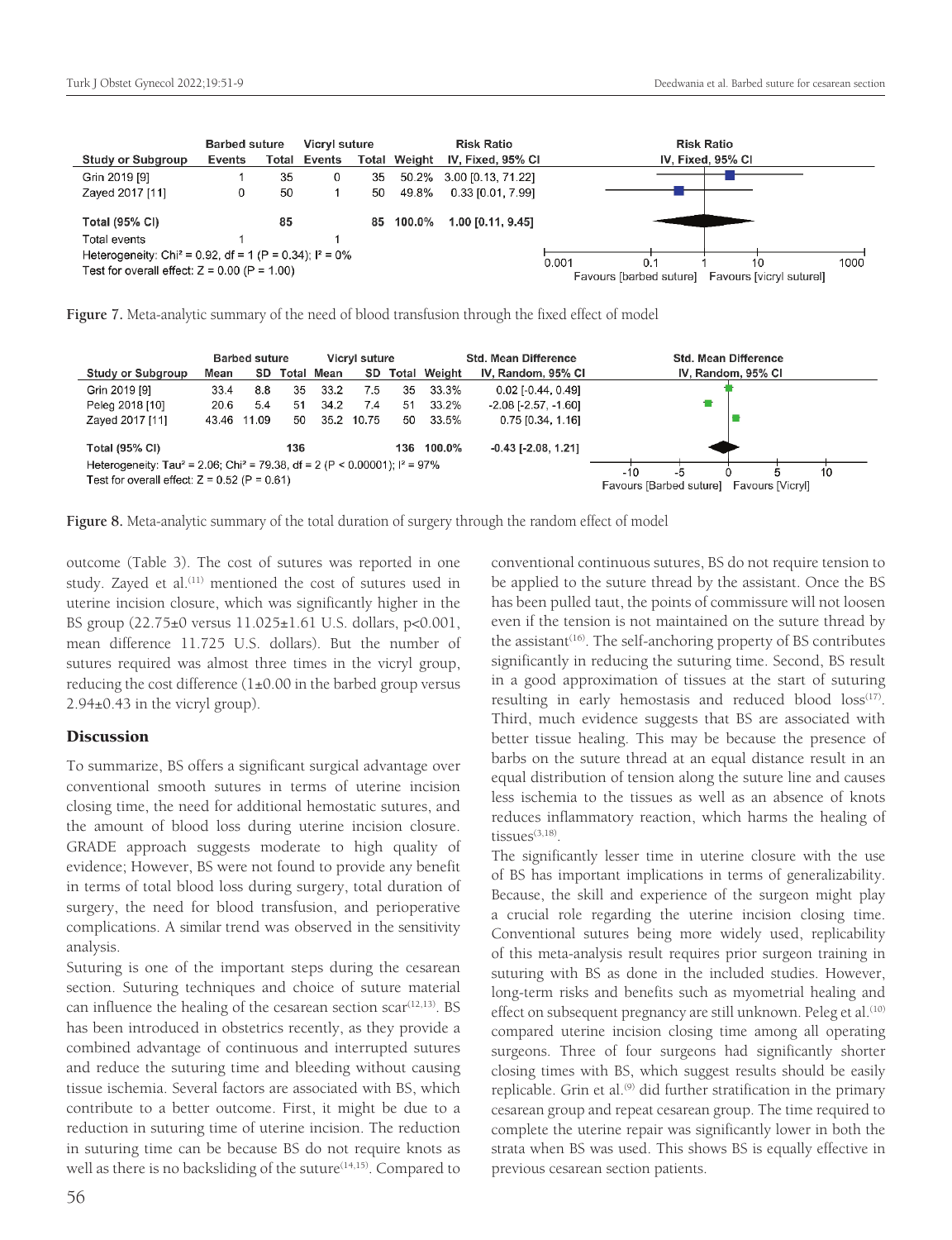|                                                                        | <b>Barbed suture</b> |    | Vicryl suture       |    |                     | <b>Risk Ratio</b>        | <b>Risk Ratio</b>                                   |
|------------------------------------------------------------------------|----------------------|----|---------------------|----|---------------------|--------------------------|-----------------------------------------------------|
| Study or Subgroup                                                      | Events               |    | <b>Total Events</b> |    | <b>Total Weight</b> | IV, Fixed, 95% CI        | IV, Fixed, 95% CI                                   |
| Grin 2019 [9]                                                          |                      | 35 | 0                   | 35 |                     | 50.2% 3.00 [0.13, 71.22] |                                                     |
| Zaved 2017 [11]                                                        | 0                    | 50 |                     | 50 | 49.8%               | 0.33 [0.01, 7.99]        |                                                     |
|                                                                        |                      |    |                     |    |                     |                          |                                                     |
| <b>Total (95% CI)</b>                                                  |                      | 85 |                     | 85 | 100.0%              | 1.00 [0.11, 9.45]        |                                                     |
| Total events                                                           |                      |    |                     |    |                     |                          |                                                     |
| Heterogeneity: Chi <sup>2</sup> = 0.92, df = 1 (P = 0.34); $I^2 = 0\%$ |                      |    |                     |    |                     |                          | 0.001<br>1000<br>10<br>0.1                          |
| Test for overall effect: $Z = 0.00$ (P = 1.00)                         |                      |    |                     |    |                     |                          | Favours [barbed suture]<br>Favours [vicryl suturel] |

**Figure 7.** Meta-analytic summary of the need of blood transfusion through the fixed effect of model

|                                                                                                     |      | <b>Barbed suture</b> |     |            | Vicryl suture |      |              | <b>Std. Mean Difference</b>   | Std. Mean Difference                                                    |
|-----------------------------------------------------------------------------------------------------|------|----------------------|-----|------------|---------------|------|--------------|-------------------------------|-------------------------------------------------------------------------|
| <b>Study or Subgroup</b>                                                                            | Mean | SD.                  |     | Total Mean | SD.           |      | Total Weight | IV, Random, 95% CI            | IV, Random, 95% CI                                                      |
| Grin 2019 [9]                                                                                       | 33.4 | 8.8                  | 35  | 33.2       | 7.5           | 35   | 33.3%        | $0.02$ [-0.44, 0.49]          |                                                                         |
| Peleg 2018 [10]                                                                                     | 20.6 | 5.4                  | 51  | 34.2       | 7.4           | -51  | 33.2%        | $-2.08$ [ $-2.57$ , $-1.60$ ] |                                                                         |
| Zayed 2017 [11]                                                                                     |      | 43.46 11.09          | 50  | 35.2       | 10.75         | 50   | 33.5%        | $0.75$ [0.34, 1.16]           |                                                                         |
| <b>Total (95% CI)</b>                                                                               |      |                      | 136 |            |               | 136. | 100.0%       | $-0.43$ [ $-2.08$ , 1.21]     |                                                                         |
| Heterogeneity: Tau <sup>2</sup> = 2.06; Chi <sup>2</sup> = 79.38, df = 2 (P < 0.00001); $I^2$ = 97% |      |                      |     |            |               |      |              |                               |                                                                         |
| Test for overall effect: $Z = 0.52$ (P = 0.61)                                                      |      |                      |     |            |               |      |              |                               | $-10$<br>-5<br>10<br>Favours [Barbed suture]<br><b>Favours [Vicryl]</b> |

**Figure 8.** Meta-analytic summary of the total duration of surgery through the random effect of model

outcome (Table 3). The cost of sutures was reported in one study. Zayed et al.<sup>(11)</sup> mentioned the cost of sutures used in uterine incision closure, which was significantly higher in the BS group (22.75±0 versus 11.025±1.61 U.S. dollars, p<0.001, mean difference 11.725 U.S. dollars). But the number of sutures required was almost three times in the vicryl group, reducing the cost difference  $(1\pm0.00$  in the barbed group versus 2.94±0.43 in the vicryl group).

## **Discussion**

To summarize, BS offers a significant surgical advantage over conventional smooth sutures in terms of uterine incision closing time, the need for additional hemostatic sutures, and the amount of blood loss during uterine incision closure. GRADE approach suggests moderate to high quality of evidence; However, BS were not found to provide any benefit in terms of total blood loss during surgery, total duration of surgery, the need for blood transfusion, and perioperative complications. A similar trend was observed in the sensitivity analysis.

Suturing is one of the important steps during the cesarean section. Suturing techniques and choice of suture material can influence the healing of the cesarean section  $scar^{\{12,13\}}$ . BS has been introduced in obstetrics recently, as they provide a combined advantage of continuous and interrupted sutures and reduce the suturing time and bleeding without causing tissue ischemia. Several factors are associated with BS, which contribute to a better outcome. First, it might be due to a reduction in suturing time of uterine incision. The reduction in suturing time can be because BS do not require knots as well as there is no backsliding of the suture<sup>(14,15)</sup>. Compared to conventional continuous sutures, BS do not require tension to be applied to the suture thread by the assistant. Once the BS has been pulled taut, the points of commissure will not loosen even if the tension is not maintained on the suture thread by the assistant<sup>(16)</sup>. The self-anchoring property of BS contributes significantly in reducing the suturing time. Second, BS result in a good approximation of tissues at the start of suturing resulting in early hemostasis and reduced blood  $loss^{(17)}$ . Third, much evidence suggests that BS are associated with better tissue healing. This may be because the presence of barbs on the suture thread at an equal distance result in an equal distribution of tension along the suture line and causes less ischemia to the tissues as well as an absence of knots reduces inflammatory reaction, which harms the healing of tissues $(3,18)$ .

The significantly lesser time in uterine closure with the use of BS has important implications in terms of generalizability. Because, the skill and experience of the surgeon might play a crucial role regarding the uterine incision closing time. Conventional sutures being more widely used, replicability of this meta-analysis result requires prior surgeon training in suturing with BS as done in the included studies. However, long-term risks and benefits such as myometrial healing and effect on subsequent pregnancy are still unknown. Peleg et al.<sup>(10)</sup> compared uterine incision closing time among all operating surgeons. Three of four surgeons had significantly shorter closing times with BS, which suggest results should be easily replicable. Grin et al.<sup>(9)</sup> did further stratification in the primary cesarean group and repeat cesarean group. The time required to complete the uterine repair was significantly lower in both the strata when BS was used. This shows BS is equally effective in previous cesarean section patients.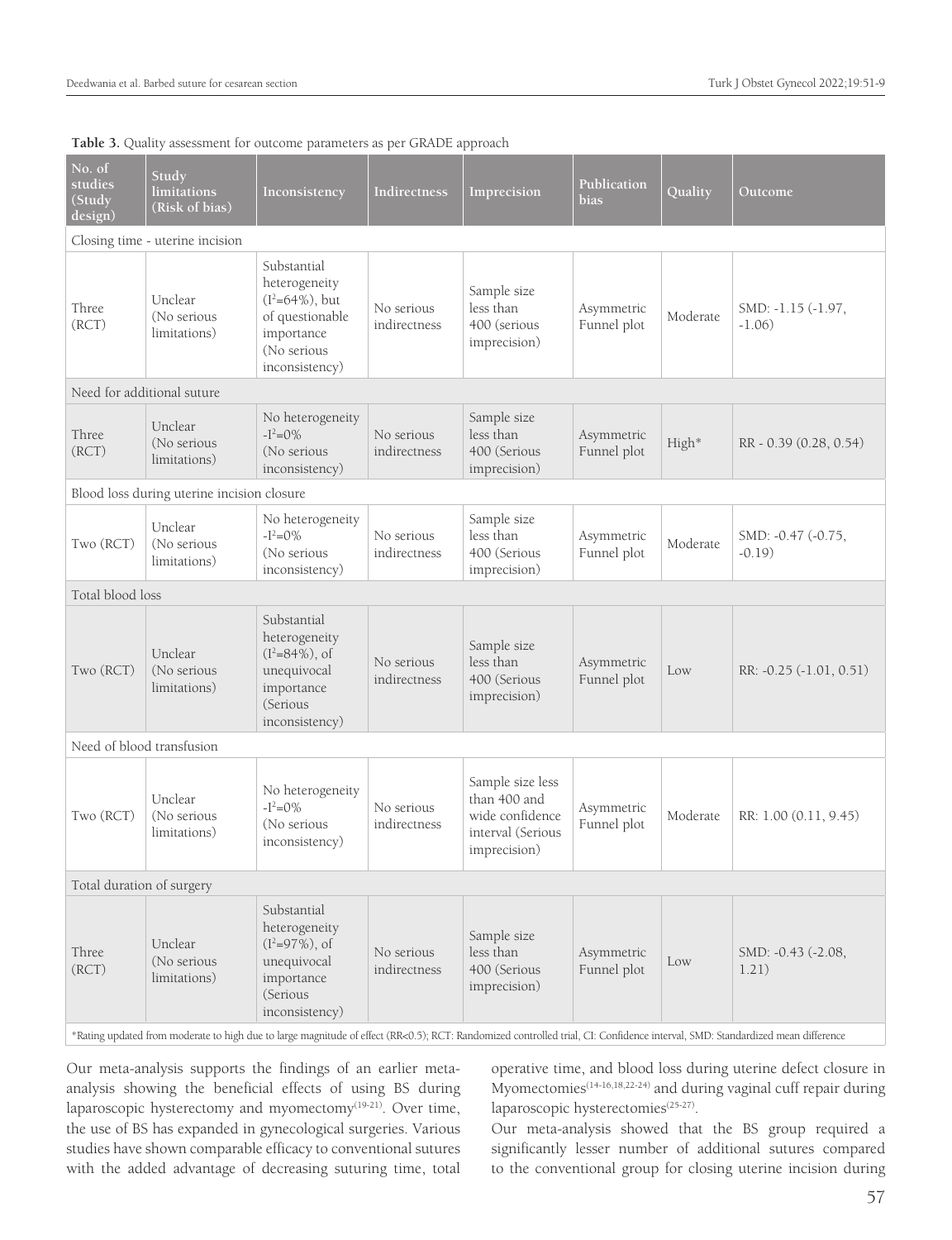| $\overline{No}$ . of<br>studies<br>(Study<br>design) | Study<br>limitations<br>(Risk of bias)     | Inconsistency                                                                                                        | <b>Indirectness</b>        | Imprecision                                                                              | Publication<br>bias       | Quality  | Outcome                                                                                                                                                                       |
|------------------------------------------------------|--------------------------------------------|----------------------------------------------------------------------------------------------------------------------|----------------------------|------------------------------------------------------------------------------------------|---------------------------|----------|-------------------------------------------------------------------------------------------------------------------------------------------------------------------------------|
|                                                      | Closing time - uterine incision            |                                                                                                                      |                            |                                                                                          |                           |          |                                                                                                                                                                               |
| Three<br>(RCT)                                       | Unclear<br>(No serious<br>limitations)     | Substantial<br>heterogeneity<br>$(I^2=64\%)$ , but<br>of questionable<br>importance<br>(No serious<br>inconsistency) | No serious<br>indirectness | Sample size<br>less than<br>400 (serious<br>imprecision)                                 | Asymmetric<br>Funnel plot | Moderate | SMD: -1.15 (-1.97,<br>$-1.06$                                                                                                                                                 |
|                                                      | Need for additional suture                 |                                                                                                                      |                            |                                                                                          |                           |          |                                                                                                                                                                               |
| Three<br>(RCT)                                       | Unclear<br>(No serious<br>limitations)     | No heterogeneity<br>$-I^2=0\%$<br>(No serious<br>inconsistency)                                                      | No serious<br>indirectness | Sample size<br>less than<br>400 (Serious<br>imprecision)                                 | Asymmetric<br>Funnel plot | High*    | RR - 0.39 (0.28, 0.54)                                                                                                                                                        |
|                                                      | Blood loss during uterine incision closure |                                                                                                                      |                            |                                                                                          |                           |          |                                                                                                                                                                               |
| Two (RCT)                                            | Unclear<br>(No serious<br>limitations)     | No heterogeneity<br>$-I^2=0\%$<br>(No serious<br>inconsistency)                                                      | No serious<br>indirectness | Sample size<br>less than<br>400 (Serious<br>imprecision)                                 | Asymmetric<br>Funnel plot | Moderate | SMD: -0.47 (-0.75,<br>$-0.19$                                                                                                                                                 |
| Total blood loss                                     |                                            |                                                                                                                      |                            |                                                                                          |                           |          |                                                                                                                                                                               |
| Two (RCT)                                            | Unclear<br>(No serious<br>limitations)     | Substantial<br>heterogeneity<br>$(I^2=84\%)$ , of<br>unequivocal<br>importance<br>(Serious<br>inconsistency)         | No serious<br>indirectness | Sample size<br>less than<br>400 (Serious<br>imprecision)                                 | Asymmetric<br>Funnel plot | Low      | RR: -0.25 (-1.01, 0.51)                                                                                                                                                       |
| Need of blood transfusion                            |                                            |                                                                                                                      |                            |                                                                                          |                           |          |                                                                                                                                                                               |
| Two (RCT)                                            | Unclear<br>(No serious<br>limitations)     | No heterogeneity<br>$-I^2=0\%$<br>(No serious<br>inconsistency)                                                      | No serious<br>indirectness | Sample size less<br>than 400 and<br>wide confidence<br>interval (Serious<br>imprecision) | Asymmetric<br>Funnel plot | Moderate | RR: 1.00 (0.11, 9.45)                                                                                                                                                         |
| Total duration of surgery                            |                                            |                                                                                                                      |                            |                                                                                          |                           |          |                                                                                                                                                                               |
| Three<br>(RCT)                                       | Unclear<br>(No serious<br>limitations)     | Substantial<br>heterogeneity<br>$(I^2=97\%)$ , of<br>unequivocal<br>importance<br>(Serious<br>inconsistency)         | No serious<br>indirectness | Sample size<br>less than<br>400 (Serious<br>imprecision)                                 | Asymmetric<br>Funnel plot | Low      | SMD: -0.43 (-2.08,<br>1.21)                                                                                                                                                   |
|                                                      |                                            |                                                                                                                      |                            |                                                                                          |                           |          | *Rating updated from moderate to high due to large magnitude of effect (RR<0.5); RCT: Randomized controlled trial, CI: Confidence interval, SMD: Standardized mean difference |

#### **Table 3.** Quality assessment for outcome parameters as per GRADE approach

Our meta-analysis supports the findings of an earlier metaanalysis showing the beneficial effects of using BS during laparoscopic hysterectomy and myomectomy<sup>(19-21)</sup>. Over time, the use of BS has expanded in gynecological surgeries. Various studies have shown comparable efficacy to conventional sutures with the added advantage of decreasing suturing time, total

operative time, and blood loss during uterine defect closure in Myomectomies<sup>(14-16,18,22-24)</sup> and during vaginal cuff repair during laparoscopic hysterectomies<sup>(25-27)</sup>.

Our meta-analysis showed that the BS group required a significantly lesser number of additional sutures compared to the conventional group for closing uterine incision during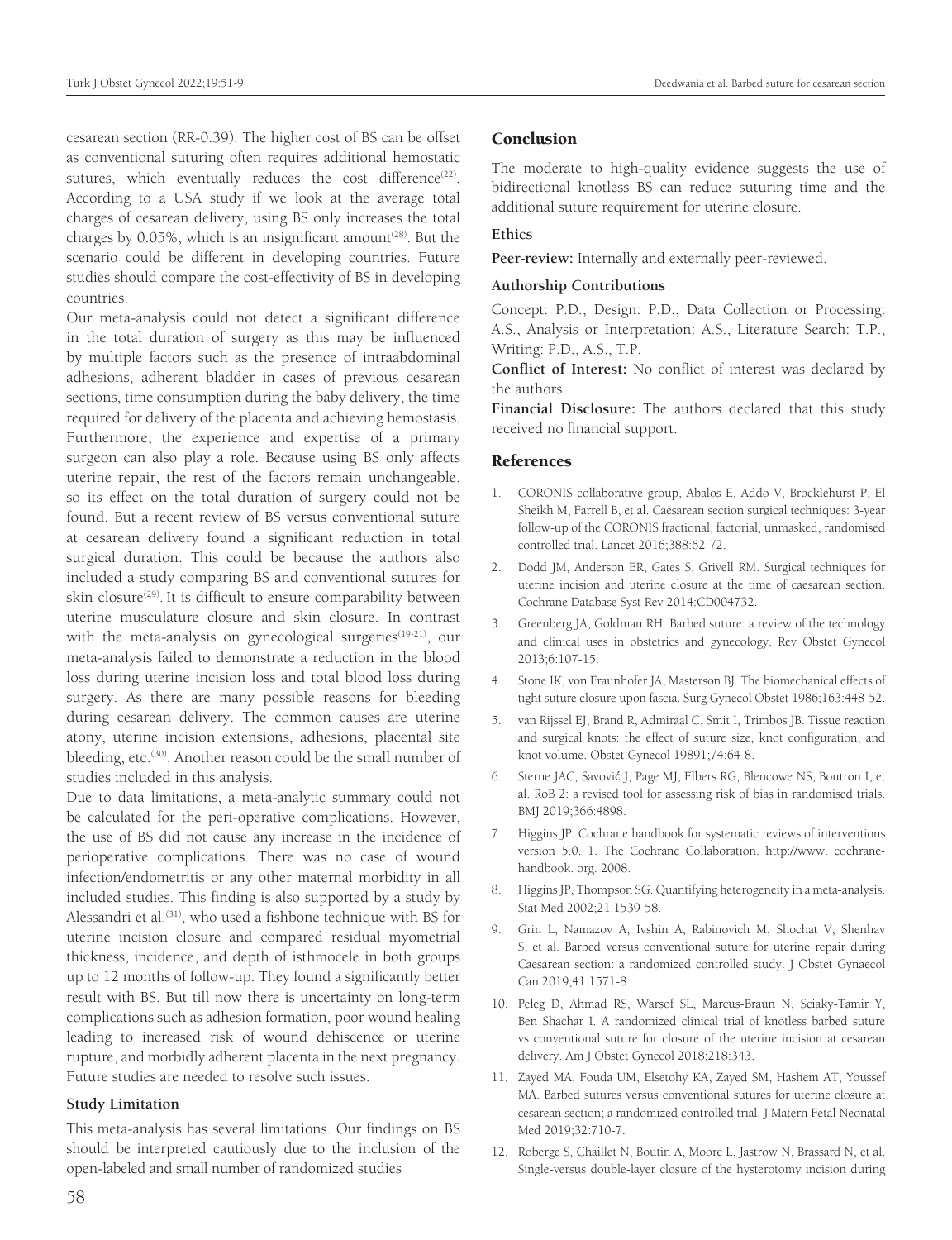cesarean section (RR-0.39). The higher cost of BS can be offset as conventional suturing often requires additional hemostatic sutures, which eventually reduces the cost difference<sup>(22)</sup>. According to a USA study if we look at the average total charges of cesarean delivery, using BS only increases the total charges by  $0.05\%$ , which is an insignificant amount<sup>(28)</sup>. But the scenario could be different in developing countries. Future studies should compare the cost-effectivity of BS in developing countries.

Our meta-analysis could not detect a significant difference in the total duration of surgery as this may be influenced by multiple factors such as the presence of intraabdominal adhesions, adherent bladder in cases of previous cesarean sections, time consumption during the baby delivery, the time required for delivery of the placenta and achieving hemostasis. Furthermore, the experience and expertise of a primary surgeon can also play a role. Because using BS only affects uterine repair, the rest of the factors remain unchangeable, so its effect on the total duration of surgery could not be found. But a recent review of BS versus conventional suture at cesarean delivery found a significant reduction in total surgical duration. This could be because the authors also included a study comparing BS and conventional sutures for skin closure<sup>(29)</sup>. It is difficult to ensure comparability between uterine musculature closure and skin closure. In contrast with the meta-analysis on gynecological surgeries $(19-21)$ , our meta-analysis failed to demonstrate a reduction in the blood loss during uterine incision loss and total blood loss during surgery. As there are many possible reasons for bleeding during cesarean delivery. The common causes are uterine atony, uterine incision extensions, adhesions, placental site bleeding, etc.<sup>(30)</sup>. Another reason could be the small number of studies included in this analysis.

Due to data limitations, a meta-analytic summary could not be calculated for the peri-operative complications. However, the use of BS did not cause any increase in the incidence of perioperative complications. There was no case of wound infection/endometritis or any other maternal morbidity in all included studies. This finding is also supported by a study by Alessandri et al.<sup>(31)</sup>, who used a fishbone technique with BS for uterine incision closure and compared residual myometrial thickness, incidence, and depth of isthmocele in both groups up to 12 months of follow-up. They found a significantly better result with BS. But till now there is uncertainty on long-term complications such as adhesion formation, poor wound healing leading to increased risk of wound dehiscence or uterine rupture, and morbidly adherent placenta in the next pregnancy. Future studies are needed to resolve such issues.

#### **Study Limitation**

This meta-analysis has several limitations. Our findings on BS should be interpreted cautiously due to the inclusion of the open-labeled and small number of randomized studies

#### Conclusion

The moderate to high-quality evidence suggests the use of bidirectional knotless BS can reduce suturing time and the additional suture requirement for uterine closure.

#### **Ethics**

**Peer-review:** Internally and externally peer-reviewed.

#### **Authorship Contributions**

Concept: P.D., Design: P.D., Data Collection or Processing: A.S., Analysis or Interpretation: A.S., Literature Search: T.P., Writing: P.D., A.S., T.P.

**Conflict of Interest:** No conflict of interest was declared by the authors.

**Financial Disclosure:** The authors declared that this study received no financial support.

#### References

- 1. CORONIS collaborative group, Abalos E, Addo V, Brocklehurst P, El Sheikh M, Farrell B, et al. Caesarean section surgical techniques: 3-year follow-up of the CORONIS fractional, factorial, unmasked, randomised controlled trial. Lancet 2016;388:62-72.
- 2. Dodd JM, Anderson ER, Gates S, Grivell RM. Surgical techniques for uterine incision and uterine closure at the time of caesarean section. Cochrane Database Syst Rev 2014:CD004732.
- 3. Greenberg JA, Goldman RH. Barbed suture: a review of the technology and clinical uses in obstetrics and gynecology. Rev Obstet Gynecol 2013;6:107-15.
- 4. Stone IK, von Fraunhofer JA, Masterson BJ. The biomechanical effects of tight suture closure upon fascia. Surg Gynecol Obstet 1986;163:448-52.
- 5. van Rijssel EJ, Brand R, Admiraal C, Smit I, Trimbos JB. Tissue reaction and surgical knots: the effect of suture size, knot configuration, and knot volume. Obstet Gynecol 19891;74:64-8.
- 6. Sterne JAC, Savović J, Page MJ, Elbers RG, Blencowe NS, Boutron I, et al. RoB 2: a revised tool for assessing risk of bias in randomised trials. BMJ 2019;366:4898.
- 7. Higgins JP. Cochrane handbook for systematic reviews of interventions version 5.0. 1. The Cochrane Collaboration. http://www. cochranehandbook. org. 2008.
- 8. Higgins JP, Thompson SG. Quantifying heterogeneity in a meta-analysis. Stat Med 2002;21:1539-58.
- 9. Grin L, Namazov A, Ivshin A, Rabinovich M, Shochat V, Shenhav S, et al. Barbed versus conventional suture for uterine repair during Caesarean section: a randomized controlled study. J Obstet Gynaecol Can 2019;41:1571-8.
- 10. Peleg D, Ahmad RS, Warsof SL, Marcus-Braun N, Sciaky-Tamir Y, Ben Shachar I. A randomized clinical trial of knotless barbed suture vs conventional suture for closure of the uterine incision at cesarean delivery. Am J Obstet Gynecol 2018;218:343.
- 11. Zayed MA, Fouda UM, Elsetohy KA, Zayed SM, Hashem AT, Youssef MA. Barbed sutures versus conventional sutures for uterine closure at cesarean section; a randomized controlled trial. J Matern Fetal Neonatal Med 2019;32:710-7.
- 12. Roberge S, Chaillet N, Boutin A, Moore L, Jastrow N, Brassard N, et al. Single-versus double-layer closure of the hysterotomy incision during